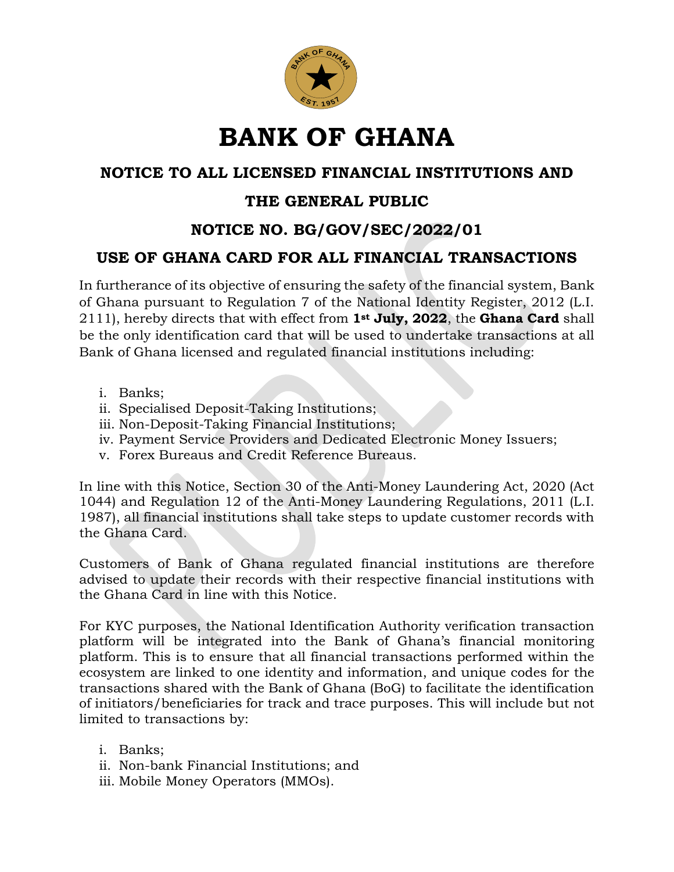

# **BANK OF GHANA**

## **NOTICE TO ALL LICENSED FINANCIAL INSTITUTIONS AND**

## **THE GENERAL PUBLIC**

## **NOTICE NO. BG/GOV/SEC/2022/01**

### **USE OF GHANA CARD FOR ALL FINANCIAL TRANSACTIONS**

In furtherance of its objective of ensuring the safety of the financial system, Bank of Ghana pursuant to Regulation 7 of the National Identity Register, 2012 (L.I. 2111), hereby directs that with effect from **1st July, 2022**, the **Ghana Card** shall be the only identification card that will be used to undertake transactions at all Bank of Ghana licensed and regulated financial institutions including:

- i. Banks;
- ii. Specialised Deposit-Taking Institutions;
- iii. Non-Deposit-Taking Financial Institutions;
- iv. Payment Service Providers and Dedicated Electronic Money Issuers;
- v. Forex Bureaus and Credit Reference Bureaus.

In line with this Notice, Section 30 of the Anti-Money Laundering Act, 2020 (Act 1044) and Regulation 12 of the Anti-Money Laundering Regulations, 2011 (L.I. 1987), all financial institutions shall take steps to update customer records with the Ghana Card.

Customers of Bank of Ghana regulated financial institutions are therefore advised to update their records with their respective financial institutions with the Ghana Card in line with this Notice.

For KYC purposes, the National Identification Authority verification transaction platform will be integrated into the Bank of Ghana's financial monitoring platform. This is to ensure that all financial transactions performed within the ecosystem are linked to one identity and information, and unique codes for the transactions shared with the Bank of Ghana (BoG) to facilitate the identification of initiators/beneficiaries for track and trace purposes. This will include but not limited to transactions by:

- i. Banks;
- ii. Non-bank Financial Institutions; and
- iii. Mobile Money Operators (MMOs).